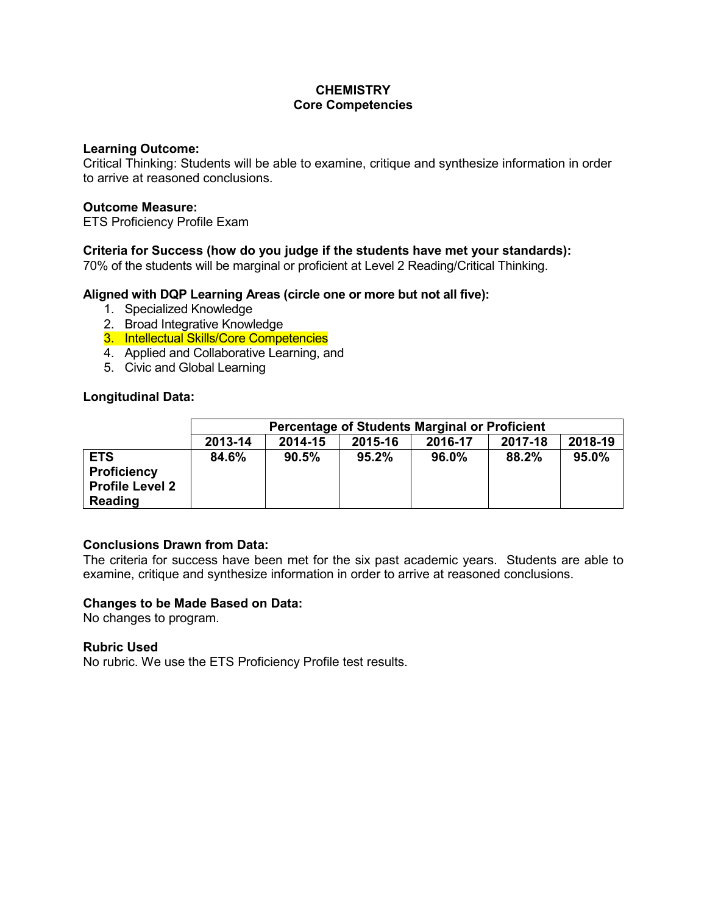# **CHEMISTRY Core Competencies**

### **Learning Outcome:**

Critical Thinking: Students will be able to examine, critique and synthesize information in order to arrive at reasoned conclusions.

### **Outcome Measure:**

ETS Proficiency Profile Exam

### **Criteria for Success (how do you judge if the students have met your standards):**

70% of the students will be marginal or proficient at Level 2 Reading/Critical Thinking.

### **Aligned with DQP Learning Areas (circle one or more but not all five):**

- 1. Specialized Knowledge
- 2. Broad Integrative Knowledge
- 3. Intellectual Skills/Core Competencies
- 4. Applied and Collaborative Learning, and
- 5. Civic and Global Learning

### **Longitudinal Data:**

|                                                                       | <b>Percentage of Students Marginal or Proficient</b> |         |         |         |         |         |
|-----------------------------------------------------------------------|------------------------------------------------------|---------|---------|---------|---------|---------|
|                                                                       | 2013-14                                              | 2014-15 | 2015-16 | 2016-17 | 2017-18 | 2018-19 |
| <b>ETS</b><br><b>Proficiency</b><br><b>Profile Level 2</b><br>Reading | 84.6%                                                | 90.5%   | 95.2%   | 96.0%   | 88.2%   | 95.0%   |

### **Conclusions Drawn from Data:**

The criteria for success have been met for the six past academic years. Students are able to examine, critique and synthesize information in order to arrive at reasoned conclusions.

#### **Changes to be Made Based on Data:**

No changes to program.

### **Rubric Used**

No rubric. We use the ETS Proficiency Profile test results.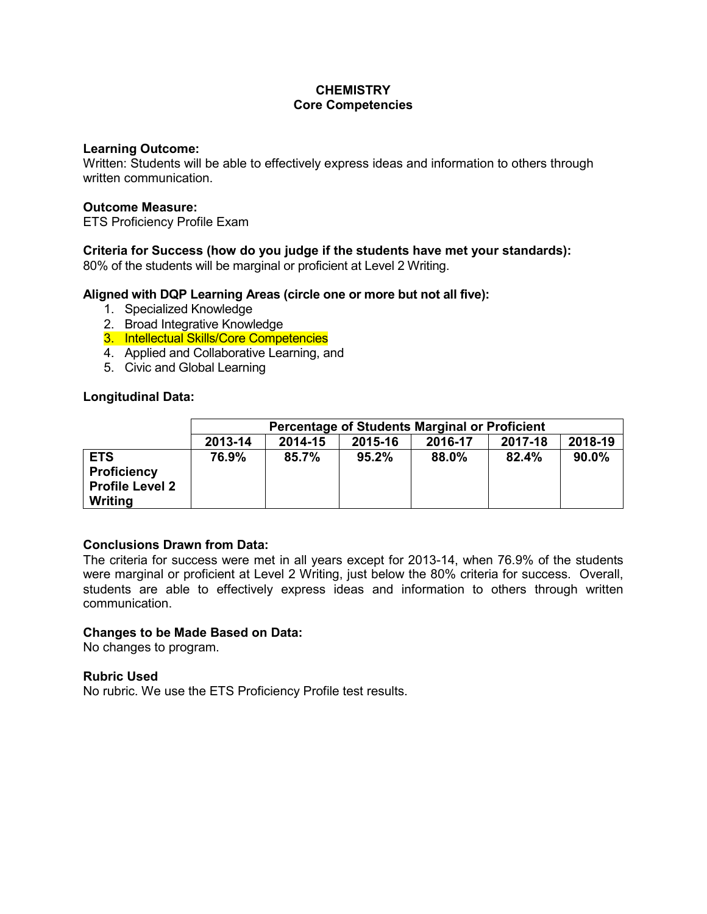# **CHEMISTRY Core Competencies**

#### **Learning Outcome:**

Written: Students will be able to effectively express ideas and information to others through written communication.

### **Outcome Measure:**

ETS Proficiency Profile Exam

# **Criteria for Success (how do you judge if the students have met your standards):**

80% of the students will be marginal or proficient at Level 2 Writing.

### **Aligned with DQP Learning Areas (circle one or more but not all five):**

- 1. Specialized Knowledge
- 2. Broad Integrative Knowledge
- 3. Intellectual Skills/Core Competencies
- 4. Applied and Collaborative Learning, and
- 5. Civic and Global Learning

### **Longitudinal Data:**

|                                                                       | <b>Percentage of Students Marginal or Proficient</b> |         |         |         |         |         |  |
|-----------------------------------------------------------------------|------------------------------------------------------|---------|---------|---------|---------|---------|--|
|                                                                       | 2013-14                                              | 2014-15 | 2015-16 | 2016-17 | 2017-18 | 2018-19 |  |
| <b>ETS</b><br><b>Proficiency</b><br><b>Profile Level 2</b><br>Writing | 76.9%                                                | 85.7%   | 95.2%   | 88.0%   | 82.4%   | 90.0%   |  |

# **Conclusions Drawn from Data:**

The criteria for success were met in all years except for 2013-14, when 76.9% of the students were marginal or proficient at Level 2 Writing, just below the 80% criteria for success. Overall, students are able to effectively express ideas and information to others through written communication.

### **Changes to be Made Based on Data:**

No changes to program.

### **Rubric Used**

No rubric. We use the ETS Proficiency Profile test results.